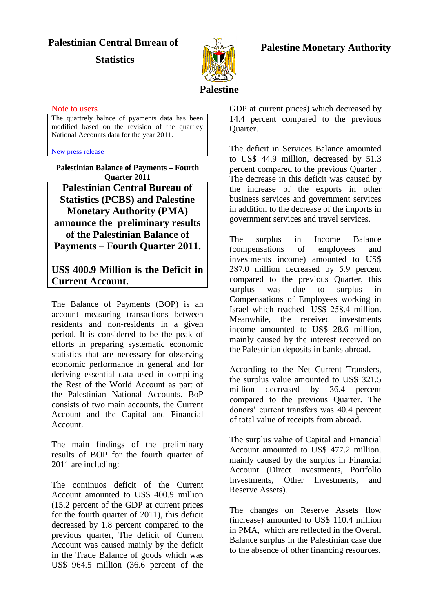## **Palestinian Central Bureau of**

**Statistics** 



## **Palestine Monetary Authority**

#### Note to users

The quartrely balnce of pyaments data has been modified based on the revision of the quartley National Accounts data for the year 2011.

#### [New press release](PressQ4-11Eng.PDF)

**Palestinian Balance of Payments – Fourth Quarter 2011 Palestinian Central Bureau of Statistics (PCBS) and Palestine Monetary Authority (PMA) announce the preliminary results of the Palestinian Balance of Payments – Fourth Quarter 2011.**

## **US\$ 400.9 Million is the Deficit in Current Account.**

The Balance of Payments (BOP) is an account measuring transactions between residents and non-residents in a given period. It is considered to be the peak of efforts in preparing systematic economic statistics that are necessary for observing economic performance in general and for deriving essential data used in compiling the Rest of the World Account as part of the Palestinian National Accounts. BoP consists of two main accounts, the Current Account and the Capital and Financial Account.

The main findings of the preliminary results of BOP for the fourth quarter of 2011 are including:

The continuos deficit of the Current Account amounted to US\$ 400.9 million (15.2 percent of the GDP at current prices for the fourth quarter of 2011), this deficit decreased by 1.8 percent compared to the previous quarter, The deficit of Current Account was caused mainly by the deficit in the Trade Balance of goods which was US\$ 964.5 million (36.6 percent of the

GDP at current prices) which decreased by 14.4 percent compared to the previous Quarter.

The deficit in Services Balance amounted to US\$ 44.9 million, decreased by 51.3 percent compared to the previous Quarter . The decrease in this deficit was caused by the increase of the exports in other business services and government services in addition to the decrease of the imports in government services and travel services.

The surplus in Income Balance (compensations of employees and investments income) amounted to US\$ 287.0 million decreased by 5.9 percent compared to the previous Quarter, this surplus was due to surplus in Compensations of Employees working in Israel which reached US\$ 258.4 million. Meanwhile, the received investments income amounted to US\$ 28.6 million, mainly caused by the interest received on the Palestinian deposits in banks abroad.

According to the Net Current Transfers, the surplus value amounted to US\$ 321.5 million decreased by 36.4 percent compared to the previous Quarter. The donors' current transfers was 40.4 percent of total value of receipts from abroad.

The surplus value of Capital and Financial Account amounted to US\$ 477.2 million. mainly caused by the surplus in Financial Account (Direct Investments, Portfolio Investments, Other Investments, and Reserve Assets).

The changes on Reserve Assets flow (increase) amounted to US\$ 110.4 million in PMA, which are reflected in the Overall Balance surplus in the Palestinian case due to the absence of other financing resources.